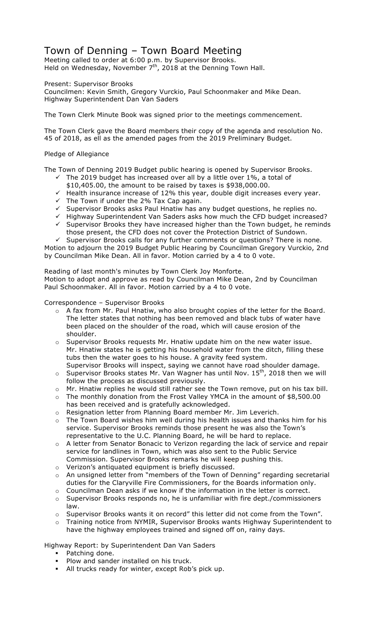# Town of Denning – Town Board Meeting

Meeting called to order at 6:00 p.m. by Supervisor Brooks. Held on Wednesday, November 7<sup>th</sup>, 2018 at the Denning Town Hall.

Present: Supervisor Brooks

Councilmen: Kevin Smith, Gregory Vurckio, Paul Schoonmaker and Mike Dean. Highway Superintendent Dan Van Saders

The Town Clerk Minute Book was signed prior to the meetings commencement.

The Town Clerk gave the Board members their copy of the agenda and resolution No. 45 of 2018, as ell as the amended pages from the 2019 Preliminary Budget.

## Pledge of Allegiance

The Town of Denning 2019 Budget public hearing is opened by Supervisor Brooks.

- $\checkmark$  The 2019 budget has increased over all by a little over 1%, a total of \$10,405.00, the amount to be raised by taxes is \$938,000.00.
- $\sim$  Health insurance increase of 12% this year, double digit increases every year.
- ← The Town if under the 2% Tax Cap again.
- → the romm and the line is a mean that has any budget questions, he replies no.
- $\checkmark$  Highway Superintendent Van Saders asks how much the CFD budget increased?
- $\checkmark$  Supervisor Brooks they have increased higher than the Town budget, he reminds those present, the CFD does not cover the Protection District of Sundown.

 $\checkmark$  Supervisor Brooks calls for any further comments or questions? There is none. Motion to adjourn the 2019 Budget Public Hearing by Councilman Gregory Vurckio, 2nd by Councilman Mike Dean. All in favor. Motion carried by a 4 to 0 vote.

Reading of last month's minutes by Town Clerk Joy Monforte. Motion to adopt and approve as read by Councilman Mike Dean, 2nd by Councilman Paul Schoonmaker. All in favor. Motion carried by a 4 to 0 vote.

Correspondence – Supervisor Brooks

- o A fax from Mr. Paul Hnatiw, who also brought copies of the letter for the Board. The letter states that nothing has been removed and black tubs of water have been placed on the shoulder of the road, which will cause erosion of the shoulder.
- o Supervisor Brooks requests Mr. Hnatiw update him on the new water issue. Mr. Hnatiw states he is getting his household water from the ditch, filling these tubs then the water goes to his house. A gravity feed system.
- Supervisor Brooks will inspect, saying we cannot have road shoulder damage.  $\circ$  Supervisor Brooks states Mr. Van Wagner has until Nov. 15<sup>th</sup>, 2018 then we will follow the process as discussed previously.
- o Mr. Hnatiw replies he would still rather see the Town remove, put on his tax bill.
- o The monthly donation from the Frost Valley YMCA in the amount of \$8,500.00 has been received and is gratefully acknowledged.
- o Resignation letter from Planning Board member Mr. Jim Leverich.
- $\circ$  The Town Board wishes him well during his health issues and thanks him for his service. Supervisor Brooks reminds those present he was also the Town's representative to the U.C. Planning Board, he will be hard to replace.
- o A letter from Senator Bonacic to Verizon regarding the lack of service and repair service for landlines in Town, which was also sent to the Public Service Commission. Supervisor Brooks remarks he will keep pushing this.
- o Verizon's antiquated equipment is briefly discussed.
- o An unsigned letter from "members of the Town of Denning" regarding secretarial duties for the Claryville Fire Commissioners, for the Boards information only.
- o Councilman Dean asks if we know if the information in the letter is correct.
- $\circ$  Supervisor Brooks responds no, he is unfamiliar with fire dept./commissioners law.
- o Supervisor Brooks wants it on record" this letter did not come from the Town".
- o Training notice from NYMIR, Supervisor Brooks wants Highway Superintendent to have the highway employees trained and signed off on, rainy days.

Highway Report: by Superintendent Dan Van Saders

- Patching done.
- Plow and sander installed on his truck.
- " All trucks ready for winter, except Rob's pick up.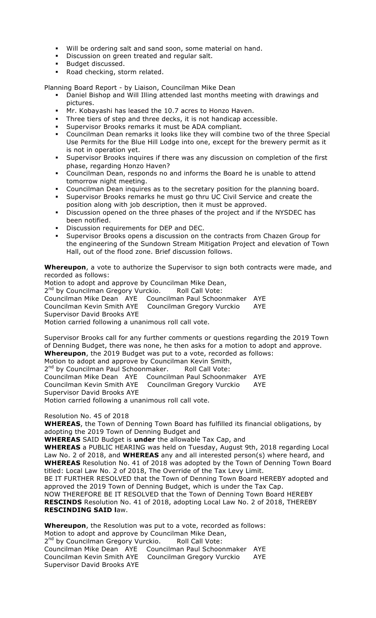- Will be ordering salt and sand soon, some material on hand.
- **•** Discussion on green treated and regular salt.
- " Budget discussed.
- " Road checking, storm related.

Planning Board Report - by Liaison, Councilman Mike Dean

- " Daniel Bishop and Will Illing attended last months meeting with drawings and pictures.
- " Mr. Kobayashi has leased the 10.7 acres to Honzo Haven.
- " Three tiers of step and three decks, it is not handicap accessible.
- " Supervisor Brooks remarks it must be ADA compliant.
- " Councilman Dean remarks it looks like they will combine two of the three Special Use Permits for the Blue Hill Lodge into one, except for the brewery permit as it is not in operation yet.
- " Supervisor Brooks inquires if there was any discussion on completion of the first phase, regarding Honzo Haven?
- Councilman Dean, responds no and informs the Board he is unable to attend tomorrow night meeting.
- " Councilman Dean inquires as to the secretary position for the planning board.
- " Supervisor Brooks remarks he must go thru UC Civil Service and create the position along with job description, then it must be approved.
- " Discussion opened on the three phases of the project and if the NYSDEC has been notified.
- Discussion requirements for DEP and DEC.
- Supervisor Brooks opens a discussion on the contracts from Chazen Group for the engineering of the Sundown Stream Mitigation Project and elevation of Town Hall, out of the flood zone. Brief discussion follows.

**Whereupon**, a vote to authorize the Supervisor to sign both contracts were made, and recorded as follows:

Motion to adopt and approve by Councilman Mike Dean, 2<sup>nd</sup> by Councilman Gregory Vurckio. Roll Call Vote: Councilman Mike Dean AYE Councilman Paul Schoonmaker AYE Councilman Kevin Smith AYE Councilman Gregory Vurckio AYE Supervisor David Brooks AYE Motion carried following a unanimous roll call vote.

Supervisor Brooks call for any further comments or questions regarding the 2019 Town of Denning Budget, there was none, he then asks for a motion to adopt and approve. **Whereupon**, the 2019 Budget was put to a vote, recorded as follows: Motion to adopt and approve by Councilman Kevin Smith, 2<sup>nd</sup> by Councilman Paul Schoonmaker. Roll Call Vote: Councilman Mike Dean AYE Councilman Paul Schoonmaker AYE Councilman Kevin Smith AYE Councilman Gregory Vurckio AYE Supervisor David Brooks AYE Motion carried following a unanimous roll call vote.

#### Resolution No. 45 of 2018

**WHEREAS**, the Town of Denning Town Board has fulfilled its financial obligations, by adopting the 2019 Town of Denning Budget and

**WHEREAS** SAID Budget is **under** the allowable Tax Cap, and

**WHEREAS** a PUBLIC HEARING was held on Tuesday, August 9th, 2018 regarding Local Law No. 2 of 2018, and **WHEREAS** any and all interested person(s) where heard, and **WHEREAS** Resolution No. 41 of 2018 was adopted by the Town of Denning Town Board titled: Local Law No. 2 of 2018, The Override of the Tax Levy Limit.

BE IT FURTHER RESOLVED that the Town of Denning Town Board HEREBY adopted and approved the 2019 Town of Denning Budget, which is under the Tax Cap.

NOW THEREFORE BE IT RESOLVED that the Town of Denning Town Board HEREBY **RESCINDS** Resolution No. 41 of 2018, adopting Local Law No. 2 of 2018, THEREBY **RESCINDING SAID l**aw.

**Whereupon**, the Resolution was put to a vote, recorded as follows:

Motion to adopt and approve by Councilman Mike Dean,

2<sup>nd</sup> by Councilman Gregory Vurckio. Roll Call Vote: Councilman Mike Dean AYE Councilman Paul Schoonmaker AYE Councilman Kevin Smith AYE Councilman Gregory Vurckio AYE Supervisor David Brooks AYE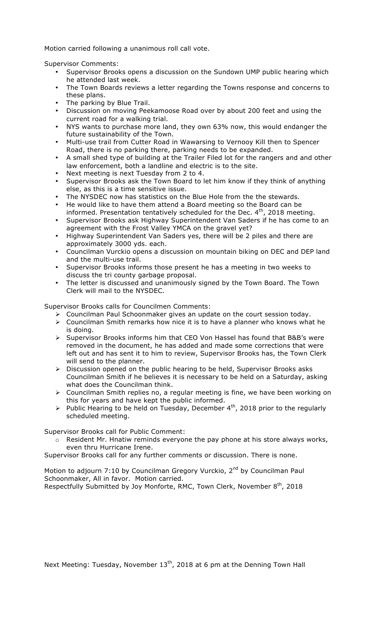Motion carried following a unanimous roll call vote.

Supervisor Comments:

- Supervisor Brooks opens a discussion on the Sundown UMP public hearing which he attended last week.
- The Town Boards reviews a letter regarding the Towns response and concerns to these plans.
- The parking by Blue Trail.
- Discussion on moving Peekamoose Road over by about 200 feet and using the current road for a walking trial.
- NYS wants to purchase more land, they own 63% now, this would endanger the future sustainability of the Town.
- Multi-use trail from Cutter Road in Wawarsing to Vernooy Kill then to Spencer Road, there is no parking there, parking needs to be expanded.
- A small shed type of building at the Trailer Filed lot for the rangers and and other law enforcement, both a landline and electric is to the site.
- Next meeting is next Tuesday from 2 to 4.
- Supervisor Brooks ask the Town Board to let him know if they think of anything else, as this is a time sensitive issue.
- The NYSDEC now has statistics on the Blue Hole from the the stewards.
- He would like to have them attend a Board meeting so the Board can be informed. Presentation tentatively scheduled for the Dec.  $4<sup>th</sup>$ , 2018 meeting.
- Supervisor Brooks ask Highway Superintendent Van Saders if he has come to an agreement with the Frost Valley YMCA on the gravel yet?
- Highway Superintendent Van Saders yes, there will be 2 piles and there are approximately 3000 yds. each.
- Councilman Vurckio opens a discussion on mountain biking on DEC and DEP land and the multi-use trail.
- Supervisor Brooks informs those present he has a meeting in two weeks to discuss the tri county garbage proposal.
- The letter is discussed and unanimously signed by the Town Board. The Town Clerk will mail to the NYSDEC.

Supervisor Brooks calls for Councilmen Comments:

- $\triangleright$  Councilman Paul Schoonmaker gives an update on the court session today.
- $\triangleright$  Councilman Smith remarks how nice it is to have a planner who knows what he is doing.
- $\triangleright$  Supervisor Brooks informs him that CEO Von Hassel has found that B&B's were removed in the document, he has added and made some corrections that were left out and has sent it to him to review, Supervisor Brooks has, the Town Clerk will send to the planner.
- $\triangleright$  Discussion opened on the public hearing to be held, Supervisor Brooks asks Councilman Smith if he believes it is necessary to be held on a Saturday, asking what does the Councilman think.
- $\triangleright$  Councilman Smith replies no, a regular meeting is fine, we have been working on this for years and have kept the public informed.
- $\triangleright$  Public Hearing to be held on Tuesday, December 4<sup>th</sup>, 2018 prior to the regularly scheduled meeting.

Supervisor Brooks call for Public Comment:

o Resident Mr. Hnatiw reminds everyone the pay phone at his store always works, even thru Hurricane Irene.

Supervisor Brooks call for any further comments or discussion. There is none.

Motion to adjourn 7:10 by Councilman Gregory Vurckio, 2<sup>nd</sup> by Councilman Paul Schoonmaker, All in favor. Motion carried.

Respectfully Submitted by Joy Monforte, RMC, Town Clerk, November  $8<sup>th</sup>$ , 2018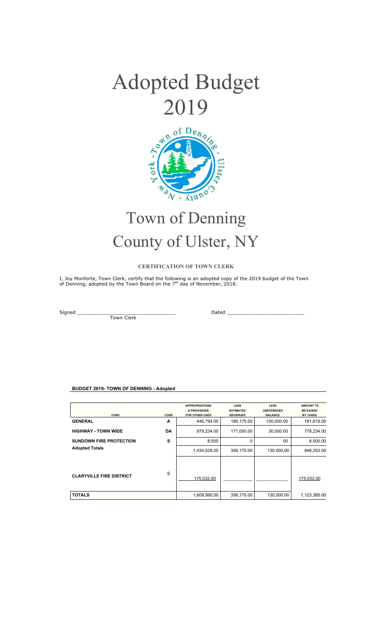



# Town of Denning County of Ulster, NY

#### **CERTIFICATION OF TOWN CLERK**

I, Joy Monforte, Town Clerk, certify that the following is an adopted copy of the 2019 budget of the Town<br>of Denning, adopted by the Town Board on the 7<sup>th</sup> day of November, 2018.

Town Clerk

Signed \_\_\_\_\_\_\_\_\_\_\_\_\_\_\_\_\_\_\_\_\_\_\_\_\_\_\_\_\_\_\_\_\_ Dated \_\_\_\_\_\_\_\_\_\_\_\_\_\_\_\_\_\_\_\_\_\_\_\_\_\_

#### **BUDGET 2019- TOWN OF DENNING - Adopted**

| <b>FUND</b>                     | CODE | <b>APPROPRIATIONS</b><br>& PROVISIONS<br><b>FOR OTHER USES</b> | <b>LESS</b><br><b>ESTIMATED</b><br><b>REVENUES</b> | <b>LESS</b><br><b>UNEXPENDED</b><br><b>BALANCE</b> | AMOUNT TO<br><b>BE RAISED</b><br><b>BY TAXES</b> |
|---------------------------------|------|----------------------------------------------------------------|----------------------------------------------------|----------------------------------------------------|--------------------------------------------------|
| <b>GENERAL</b>                  | A    | 446,794.00                                                     | 185,175.00                                         | 100,000.00                                         | 161,619.00                                       |
| <b>HIGHWAY - TOWN WIDE</b>      | DA   | 979,234.00                                                     | 171,000.00                                         | 30,000.00                                          | 778,234.00                                       |
| <b>SUNDOWN FIRE PROTECTION</b>  | s    | 8,500                                                          | 0                                                  | 00                                                 | 8,500.00                                         |
| <b>Adopted Totals</b>           |      | 1,434,528.00                                                   | 356.175.00                                         | 130,000.00                                         | 948.353.00                                       |
| <b>CLARYVILLE FIRE DISTRICT</b> | S    | 175,032.00                                                     |                                                    |                                                    | 175,032.00                                       |
| <b>TOTALS</b>                   |      | 1,609,560.00                                                   | 356,175.00                                         | 130,000.00                                         | 1,123,385.00                                     |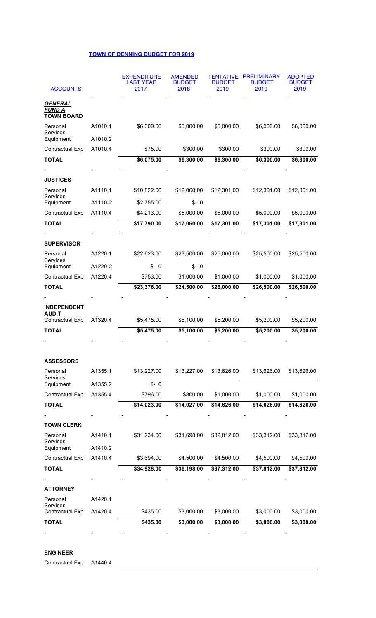# **TOWN OF DENNING BUDGET FOR 2019**

| <b>ACCOUNTS</b>                                       |                    | <b>EXPENDITURE</b><br>LAST YEAR<br>2017 | <b>AMENDED</b><br><b>BUDGET</b><br>2018 | <b>BUDGET</b><br>2019 | <b>TENTATIVE PRELIMINARY</b><br><b>BUDGET</b><br>2019 | <b>ADOPTED</b><br><b>BUDGET</b><br>2019 |
|-------------------------------------------------------|--------------------|-----------------------------------------|-----------------------------------------|-----------------------|-------------------------------------------------------|-----------------------------------------|
| <b>GENERAL</b><br><b>FUND A</b><br><b>TOWN BOARD</b>  |                    |                                         |                                         |                       |                                                       |                                         |
| Personal<br>Services<br>Equipment                     | A1010.1<br>A1010.2 | \$6,000.00                              | \$6,000.00                              | \$6,000.00            | \$6,000.00                                            | \$6,000.00                              |
| <b>Contractual Exp</b>                                | A1010.4            | \$75.00                                 | \$300.00                                | \$300.00              | \$300.00                                              | \$300.00                                |
| <b>TOTAL</b>                                          |                    | \$6,075.00                              | \$6,300.00                              | \$6,300.00            | \$6,300.00                                            | \$6,300.00                              |
|                                                       |                    |                                         |                                         |                       |                                                       |                                         |
| <b>JUSTICES</b>                                       |                    |                                         |                                         |                       |                                                       |                                         |
| Personal<br><b>Services</b>                           | A1110.1            | \$10,822.00                             | \$12,060.00                             | \$12,301.00           | \$12,301.00                                           | \$12,301.00                             |
| Equipment                                             | A1110-2            | \$2,755.00                              | $$ - 0$                                 |                       |                                                       |                                         |
| <b>Contractual Exp</b>                                | A1110.4            | \$4,213.00                              | \$5,000.00                              | \$5,000.00            | \$5,000.00                                            | \$5,000.00                              |
| <b>TOTAL</b>                                          |                    | \$17,790.00                             | \$17,060.00                             | \$17,301.00           | \$17,301.00                                           | \$17,301.00                             |
|                                                       |                    |                                         |                                         |                       |                                                       |                                         |
| <b>SUPERVISOR</b>                                     |                    |                                         |                                         |                       |                                                       |                                         |
| Personal<br>Services                                  | A1220.1            | \$22,623.00                             | \$23,500.00                             | \$25,000.00           | \$25,500.00                                           | \$25,500.00                             |
| Equipment                                             | A1220-2            | S-0                                     | $$ - 0$                                 |                       |                                                       |                                         |
| <b>Contractual Exp</b>                                | A1220.4            | \$753.00                                | \$1,000.00                              | \$1,000.00            | \$1,000.00                                            | \$1,000.00                              |
| <b>TOTAL</b>                                          |                    | \$23,376.00                             | \$24,500.00                             | \$26,000.00           | \$26,500.00                                           | \$26,500.00                             |
|                                                       |                    |                                         |                                         |                       |                                                       |                                         |
| <b>INDEPENDENT</b><br><b>AUDIT</b><br>Contractual Exp | A1320.4            | \$5,475.00                              | \$5,100.00                              | \$5,200.00            | \$5,200.00                                            | \$5,200.00                              |
| <b>TOTAL</b>                                          |                    | \$5,475.00                              | \$5,100.00                              | \$5,200.00            | \$5,200.00                                            | \$5,200.00                              |
|                                                       |                    |                                         |                                         |                       |                                                       |                                         |
|                                                       |                    |                                         |                                         |                       |                                                       |                                         |
| <b>ASSESSORS</b>                                      |                    |                                         |                                         |                       |                                                       |                                         |
| Personal<br><b>Services</b>                           | A1355.1            | \$13,227.00                             | \$13,227.00                             | \$13,626.00           | \$13,626.00                                           | \$13,626.00                             |
| Equipment                                             | A1355.2            | $$ - 0$                                 |                                         |                       |                                                       |                                         |
| Contractual Exp                                       | A1355.4            | \$796.00                                | \$800.00                                | \$1,000.00            | \$1,000.00                                            | \$1,000.00                              |
| <b>TOTAL</b>                                          |                    | \$14,023.00                             | \$14,027.00                             | \$14,626.00           | \$14,626.00                                           | \$14,626.00                             |
|                                                       |                    |                                         |                                         |                       |                                                       |                                         |
| <b>TOWN CLERK</b>                                     |                    |                                         |                                         |                       |                                                       |                                         |
| Personal<br>Services<br>Equipment                     | A1410.1<br>A1410.2 | \$31,234.00                             | \$31,698.00                             | \$32,812.00           | \$33,312.00                                           | \$33,312.00                             |
| Contractual Exp                                       | A1410.4            | \$3,694.00                              | \$4,500.00                              | \$4,500.00            | \$4,500.00                                            | \$4,500.00                              |
| <b>TOTAL</b>                                          |                    | \$34,928.00                             | \$36,198.00                             | \$37,312.00           | \$37,812.00                                           | \$37,812.00                             |
|                                                       |                    |                                         |                                         |                       |                                                       |                                         |
| <b>ATTORNEY</b>                                       |                    |                                         |                                         |                       |                                                       |                                         |
| Personal<br><b>Services</b>                           | A1420.1            |                                         |                                         |                       |                                                       |                                         |
| Contractual Exp                                       | A1420.4            | \$435.00                                | \$3,000.00                              | \$3,000.00            | \$3,000.00                                            | \$3,000.00                              |
| <b>TOTAL</b>                                          |                    | \$435.00                                | \$3,000.00                              | \$3,000.00            | \$3,000.00                                            | \$3,000.00                              |
|                                                       |                    |                                         |                                         |                       |                                                       |                                         |

### **ENGINEER**

Contractual Exp A1440.4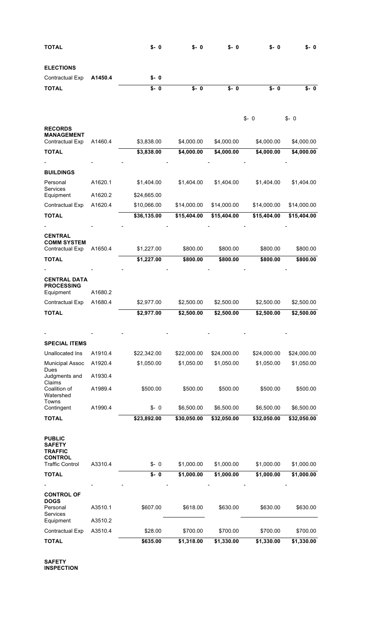| <b>TOTAL</b>                                                       |         | $$ - 0$     | $$-.0$      | $$ - 0$     | $$-.0$      | $S - 0$     |
|--------------------------------------------------------------------|---------|-------------|-------------|-------------|-------------|-------------|
| <b>ELECTIONS</b>                                                   |         |             |             |             |             |             |
| Contractual Exp                                                    | A1450.4 | $S - 0$     |             |             |             |             |
| <b>TOTAL</b>                                                       |         | $$ - 0$     | $$-.0$      | $$ - 0$     | $$-.0$      | $$-.0$      |
| <b>RECORDS</b>                                                     |         |             |             |             | $$ - 0$     | $$ - 0$     |
| <b>MANAGEMENT</b><br>Contractual Exp                               | A1460.4 | \$3,838.00  | \$4,000.00  | \$4,000.00  | \$4,000.00  | \$4,000.00  |
| <b>TOTAL</b>                                                       |         | \$3,838.00  | \$4,000.00  | \$4,000.00  | \$4,000.00  | \$4,000.00  |
|                                                                    |         |             |             |             |             |             |
| <b>BUILDINGS</b>                                                   |         |             |             |             |             |             |
| Personal                                                           | A1620.1 | \$1,404.00  | \$1,404.00  | \$1,404.00  | \$1,404.00  | \$1,404.00  |
| Services<br>Equipment                                              | A1620.2 | \$24,665.00 |             |             |             |             |
| <b>Contractual Exp</b>                                             | A1620.4 | \$10,066.00 | \$14,000.00 | \$14,000.00 | \$14,000.00 | \$14,000.00 |
| <b>TOTAL</b>                                                       |         | \$36,135.00 | \$15,404.00 | \$15,404.00 | \$15,404.00 | \$15,404.00 |
|                                                                    |         |             |             |             |             |             |
| <b>CENTRAL</b><br><b>COMM SYSTEM</b><br><b>Contractual Exp</b>     | A1650.4 | \$1,227.00  | \$800.00    | \$800.00    | \$800.00    | \$800.00    |
| <b>TOTAL</b>                                                       |         | \$1,227.00  | \$800.00    | \$800.00    | \$800.00    | \$800.00    |
|                                                                    |         |             |             |             |             |             |
| <b>CENTRAL DATA</b><br><b>PROCESSING</b><br>Equipment              | A1680.2 |             |             |             |             |             |
| <b>Contractual Exp</b>                                             | A1680.4 | \$2,977.00  | \$2,500.00  | \$2,500.00  | \$2,500.00  | \$2,500.00  |
| <b>TOTAL</b>                                                       |         | \$2,977.00  | \$2,500.00  | \$2,500.00  | \$2,500.00  | \$2,500.00  |
|                                                                    |         |             |             |             |             |             |
|                                                                    |         |             |             |             |             |             |
| <b>SPECIAL ITEMS</b>                                               |         |             |             |             |             |             |
| Unallocated Ins                                                    | A1910.4 | \$22,342.00 | \$22,000.00 | \$24,000.00 | \$24,000.00 | \$24,000.00 |
| <b>Municipal Assoc</b><br>Dues                                     | A1920.4 | \$1,050.00  | \$1,050.00  | \$1,050.00  | \$1,050.00  | \$1,050.00  |
| Judgments and<br>Claims                                            | A1930.4 |             |             |             |             |             |
| Coalition of<br>Watershed                                          | A1989.4 | \$500.00    | \$500.00    | \$500.00    | \$500.00    | \$500.00    |
| Towns<br>Contingent                                                | A1990.4 | $$ - 0$     | \$6,500.00  | \$6,500.00  | \$6,500.00  | \$6,500.00  |
| <b>TOTAL</b>                                                       |         | \$23,892.00 | \$30,050.00 | \$32,050.00 | \$32,050.00 | \$32,050.00 |
| <b>PUBLIC</b><br><b>SAFETY</b><br><b>TRAFFIC</b><br><b>CONTROL</b> |         |             |             |             |             |             |
| <b>Traffic Control</b>                                             | A3310.4 | $$ - 0$     | \$1,000.00  | \$1,000.00  | \$1,000.00  | \$1,000.00  |
| <b>TOTAL</b>                                                       |         | $$ - 0$     | \$1,000.00  | \$1,000.00  | \$1,000.00  | \$1,000.00  |
| <b>CONTROL OF</b><br><b>DOGS</b><br>Personal<br>Services           | A3510.1 | \$607.00    | \$618.00    | \$630.00    | \$630.00    | \$630.00    |
| Equipment                                                          | A3510.2 |             |             |             |             |             |
| Contractual Exp                                                    | A3510.4 | \$28.00     | \$700.00    | \$700.00    | \$700.00    | \$700.00    |
| <b>TOTAL</b>                                                       |         | \$635.00    | \$1,318.00  | \$1,330.00  | \$1,330.00  | \$1,330.00  |

**SAFETY INSPECTION**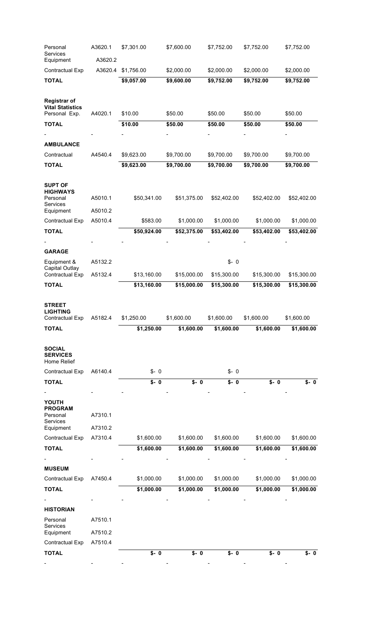| Personal<br>Services<br>Equipment                               | A3620.1<br>A3620.2 | \$7,301.00               | \$7,600.00               | \$7,752.00               | \$7,752.00               | \$7,752.00               |
|-----------------------------------------------------------------|--------------------|--------------------------|--------------------------|--------------------------|--------------------------|--------------------------|
| Contractual Exp                                                 | A3620.4            | \$1,756.00               | \$2,000.00               | \$2,000.00               | \$2,000.00               | \$2,000.00               |
| <b>TOTAL</b>                                                    |                    | \$9,057.00               | \$9,600.00               | \$9,752.00               | \$9,752.00               | \$9,752.00               |
| <b>Registrar of</b><br><b>Vital Statistics</b><br>Personal Exp. | A4020.1            | \$10.00                  | \$50.00                  | \$50.00                  | \$50.00                  | \$50.00                  |
| <b>TOTAL</b>                                                    |                    | \$10.00                  | \$50.00                  | \$50.00                  | \$50.00                  | \$50.00                  |
|                                                                 |                    |                          |                          |                          |                          |                          |
| <b>AMBULANCE</b>                                                |                    |                          |                          |                          |                          |                          |
| Contractual                                                     | A4540.4            | \$9,623.00               | \$9,700.00               | \$9,700.00               | \$9,700.00               | \$9,700.00               |
| <b>TOTAL</b>                                                    |                    | \$9,623.00               | \$9,700.00               | \$9,700.00               | \$9,700.00               | \$9,700.00               |
| <b>SUPT OF</b><br><b>HIGHWAYS</b><br>Personal<br>Services       | A5010.1            | \$50,341.00              | \$51,375.00              | \$52,402.00              | \$52,402.00              | \$52,402.00              |
| Equipment                                                       | A5010.2            |                          |                          |                          |                          |                          |
| Contractual Exp                                                 | A5010.4            | \$583.00                 | \$1,000.00               | \$1,000.00               | \$1,000.00               | \$1,000.00               |
| <b>TOTAL</b>                                                    |                    | \$50,924.00              | \$52,375.00              | \$53,402.00              | \$53,402.00              | \$53,402.00              |
|                                                                 |                    |                          |                          |                          |                          |                          |
| <b>GARAGE</b>                                                   |                    |                          |                          |                          |                          |                          |
| Equipment &<br>Capital Outlay                                   | A5132.2            |                          |                          | $$ - 0$                  |                          |                          |
| Contractual Exp                                                 | A5132.4            | \$13,160.00              | \$15,000.00              | \$15,300.00              | \$15,300.00              | \$15,300.00              |
| <b>TOTAL</b>                                                    |                    | \$13,160.00              | \$15,000.00              | \$15,300.00              | \$15,300.00              | \$15,300.00              |
| <b>STREET</b><br><b>LIGHTING</b>                                |                    |                          |                          |                          |                          |                          |
| Contractual Exp                                                 | A5182.4            | \$1,250.00               | \$1,600.00               | \$1,600.00               | \$1,600.00               | \$1,600.00               |
| <b>TOTAL</b>                                                    |                    | \$1,250.00               | \$1,600.00               | \$1,600.00               | \$1,600.00               | \$1,600.00               |
| <b>SOCIAL</b><br><b>SERVICES</b><br>Home Relief                 |                    |                          |                          |                          |                          |                          |
| Contractual Exp                                                 | A6140.4            | $$ - 0$                  |                          | $$ - 0$                  |                          |                          |
| <b>TOTAL</b>                                                    |                    | $$ - 0$                  | $$-.0$                   | $$-.0$                   | $$ - 0$                  | S- O                     |
| YOUTH<br><b>PROGRAM</b><br>Personal<br>Services                 | A7310.1            |                          |                          |                          |                          |                          |
| Equipment                                                       | A7310.2            |                          |                          |                          |                          |                          |
| Contractual Exp                                                 | A7310.4            | \$1,600.00               | \$1,600.00               | \$1,600.00               | \$1,600.00               | \$1,600.00               |
| <b>TOTAL</b>                                                    |                    | \$1,600.00               | \$1,600.00               | \$1,600.00               | \$1,600.00               | \$1,600.00               |
|                                                                 |                    |                          |                          |                          |                          |                          |
| <b>MUSEUM</b>                                                   |                    |                          |                          |                          |                          |                          |
| Contractual Exp<br><b>TOTAL</b>                                 | A7450.4            | \$1,000.00<br>\$1,000.00 | \$1,000.00<br>\$1,000.00 | \$1,000.00<br>\$1,000.00 | \$1,000.00<br>\$1,000.00 | \$1,000.00<br>\$1,000.00 |
|                                                                 |                    |                          |                          |                          |                          |                          |
| <b>HISTORIAN</b>                                                |                    |                          |                          |                          |                          |                          |
| Personal<br>Services                                            | A7510.1            |                          |                          |                          |                          |                          |
| Equipment<br>Contractual Exp                                    | A7510.2<br>A7510.4 |                          |                          |                          |                          |                          |
| <b>TOTAL</b>                                                    |                    | $\sqrt{$-0$}$            | $\sqrt{6}$ - 0           | $$ - 0$                  | $$ - 0$                  | $$ - 0$                  |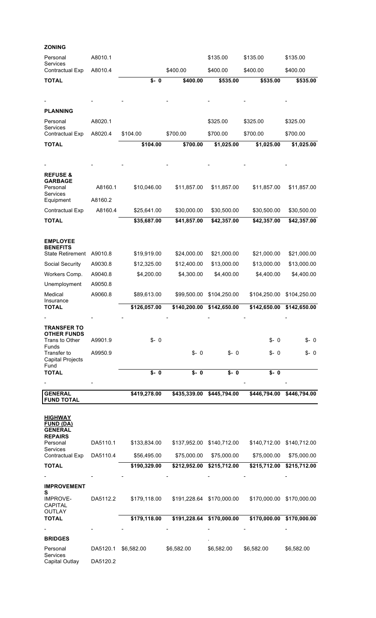| <b>ZONING</b>                                        |          |               |              |              |              |              |
|------------------------------------------------------|----------|---------------|--------------|--------------|--------------|--------------|
| Personal<br>Services                                 | A8010.1  |               |              | \$135.00     | \$135.00     | \$135.00     |
| Contractual Exp                                      | A8010.4  |               | \$400.00     | \$400.00     | \$400.00     | \$400.00     |
| <b>TOTAL</b>                                         |          | $\sqrt{s}$ -0 | \$400.00     | \$535.00     | \$535.00     | \$535.00     |
|                                                      |          |               |              |              |              |              |
|                                                      |          |               |              |              |              |              |
| <b>PLANNING</b>                                      |          |               |              |              |              |              |
| Personal<br>Services                                 | A8020.1  |               |              | \$325.00     | \$325.00     | \$325.00     |
| Contractual Exp                                      | A8020.4  | \$104.00      | \$700.00     | \$700.00     | \$700.00     | \$700.00     |
| <b>TOTAL</b>                                         |          | \$104.00      | \$700.00     | \$1,025.00   | \$1,025.00   | \$1,025.00   |
|                                                      |          |               |              |              |              |              |
|                                                      |          |               |              |              |              |              |
| <b>REFUSE &amp;</b>                                  |          |               |              |              |              |              |
| <b>GARBAGE</b><br>Personal                           | A8160.1  | \$10,046.00   | \$11,857.00  | \$11,857.00  | \$11,857.00  | \$11,857.00  |
| Services                                             |          |               |              |              |              |              |
| Equipment                                            | A8160.2  |               |              |              |              |              |
| Contractual Exp                                      | A8160.4  | \$25,641.00   | \$30,000.00  | \$30,500.00  | \$30,500.00  | \$30,500.00  |
| <b>TOTAL</b>                                         |          | \$35,687.00   | \$41,857.00  | \$42,357.00  | \$42,357.00  | \$42,357.00  |
|                                                      |          |               |              |              |              |              |
| <b>EMPLOYEE</b><br><b>BENEFITS</b>                   |          |               |              |              |              |              |
| <b>State Retirement</b>                              | A9010.8  | \$19,919.00   | \$24,000.00  | \$21,000.00  | \$21,000.00  | \$21,000.00  |
| Social Security                                      | A9030.8  | \$12,325.00   | \$12,400.00  | \$13,000.00  | \$13,000.00  | \$13,000.00  |
| Workers Comp.                                        | A9040.8  | \$4,200.00    | \$4,300.00   | \$4,400.00   | \$4,400.00   | \$4,400.00   |
| Unemployment                                         | A9050.8  |               |              |              |              |              |
| Medical<br>Insurance                                 | A9060.8  | \$89,613.00   | \$99,500.00  | \$104,250.00 | \$104,250.00 | \$104,250.00 |
|                                                      |          |               |              |              |              |              |
| <b>TOTAL</b>                                         |          | \$126,057.00  | \$140,200.00 | \$142,650.00 | \$142,650.00 | \$142,650.00 |
|                                                      |          |               |              |              |              |              |
| <b>TRANSFER TO</b><br><b>OTHER FUNDS</b>             |          |               |              |              |              |              |
| Trans to Other<br><b>Funds</b>                       | A9901.9  | \$-0          |              |              | $$ - 0$      | $$ - 0$      |
| Transfer to<br><b>Capital Projects</b><br>Fund       | A9950.9  |               | $$ - 0$      | $S - 0$      | S-0          | S-0          |
| <b>TOTAL</b>                                         |          | $S - 0$       | $$ - 0$      | $S - 0$      | $S - 0$      |              |
|                                                      |          |               |              |              |              |              |
| <b>GENERAL</b><br><b>FUND TOTAL</b>                  |          | \$419,278.00  | \$435,339.00 | \$445,794.00 | \$446,794.00 | \$446,794.00 |
| <b>HIGHWAY</b><br><b>FUND (DA)</b><br><b>GENERAL</b> |          |               |              |              |              |              |
| <b>REPAIRS</b><br>Personal<br>Services               | DA5110.1 | \$133,834.00  | \$137,952.00 | \$140,712.00 | \$140,712.00 | \$140,712.00 |
| Contractual Exp                                      | DA5110.4 | \$56,495.00   | \$75,000.00  | \$75,000.00  | \$75,000.00  | \$75,000.00  |
| <b>TOTAL</b>                                         |          | \$190,329.00  | \$212,952.00 | \$215,712.00 | \$215,712.00 | \$215,712.00 |
|                                                      |          |               |              |              |              |              |
| <b>IMPROVEMENT</b>                                   |          |               |              |              |              |              |
| S<br><b>IMPROVE-</b><br><b>CAPITAL</b>               | DA5112.2 | \$179,118.00  | \$191,228.64 | \$170,000.00 | \$170,000.00 | \$170,000.00 |
| <b>OUTLAY</b><br><b>TOTAL</b>                        |          | \$179,118.00  | \$191,228.64 | \$170,000.00 | \$170,000.00 | \$170,000.00 |
|                                                      |          |               |              |              |              |              |
| <b>BRIDGES</b>                                       |          |               |              |              |              |              |
| Personal<br>Services                                 | DA5120.1 | \$6,582.00    | \$6,582.00   | \$6,582.00   | \$6,582.00   | \$6,582.00   |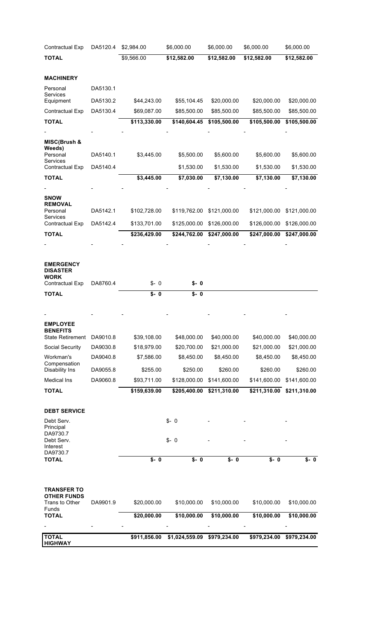| Contractual Exp                            | DA5120.4             | \$2,984.00                 | \$6,000.00                 | \$6,000.00                 | \$6,000.00                 | \$6,000.00                 |
|--------------------------------------------|----------------------|----------------------------|----------------------------|----------------------------|----------------------------|----------------------------|
| <b>TOTAL</b>                               |                      | \$9,566.00                 | \$12,582.00                | \$12,582.00                | \$12,582.00                | \$12,582.00                |
|                                            |                      |                            |                            |                            |                            |                            |
| <b>MACHINERY</b><br>Personal               | DA5130.1             |                            |                            |                            |                            |                            |
| Services                                   |                      |                            |                            |                            |                            |                            |
| Equipment<br>Contractual Exp               | DA5130.2<br>DA5130.4 | \$44,243.00<br>\$69,087.00 | \$55,104.45<br>\$85,500.00 | \$20,000.00<br>\$85,500.00 | \$20,000.00<br>\$85,500.00 | \$20,000.00<br>\$85,500.00 |
| <b>TOTAL</b>                               |                      | \$113,330.00               | \$140,604.45               | \$105,500.00               | \$105,500.00               | \$105,500.00               |
|                                            |                      |                            |                            |                            |                            |                            |
| MISC(Brush &                               |                      |                            |                            |                            |                            |                            |
| Weeds)<br>Personal                         | DA5140.1             | \$3,445.00                 | \$5,500.00                 | \$5,600.00                 | \$5,600.00                 | \$5,600.00                 |
| Services                                   | DA5140.4             |                            |                            |                            |                            |                            |
| Contractual Exp<br><b>TOTAL</b>            |                      | \$3,445.00                 | \$1,530.00<br>\$7,030.00   | \$1,530.00<br>\$7,130.00   | \$1,530.00<br>\$7,130.00   | \$1,530.00<br>\$7,130.00   |
|                                            |                      |                            |                            |                            |                            |                            |
| <b>SNOW</b>                                |                      |                            |                            |                            |                            |                            |
| <b>REMOVAL</b><br>Personal                 |                      |                            |                            |                            |                            |                            |
| <b>Services</b>                            | DA5142.1             | \$102,728.00               | \$119,762.00               | \$121,000.00               | \$121,000.00               | \$121,000.00               |
| Contractual Exp                            | DA5142.4             | \$133,701.00               | \$125,000.00               | \$126,000.00               | \$126,000.00               | \$126,000.00               |
| <b>TOTAL</b>                               |                      | \$236,429.00               | \$244,762.00               | \$247,000.00               | \$247,000.00               | \$247,000.00               |
|                                            |                      |                            |                            |                            |                            |                            |
| <b>EMERGENCY</b><br><b>DISASTER</b>        |                      |                            |                            |                            |                            |                            |
| <b>WORK</b>                                |                      |                            |                            |                            |                            |                            |
| Contractual Exp<br><b>TOTAL</b>            | DA8760.4             | $$ - 0$<br>$$ - 0$         | S- O<br>$S - 0$            |                            |                            |                            |
|                                            |                      |                            |                            |                            |                            |                            |
|                                            |                      |                            |                            |                            |                            |                            |
| <b>EMPLOYEE</b>                            |                      |                            |                            |                            |                            |                            |
| <b>BENEFITS</b><br><b>State Retirement</b> | DA9010.8             | \$39,108.00                | \$48,000.00                | \$40,000.00                | \$40,000.00                | \$40,000.00                |
| Social Security                            | DA9030.8             | \$18,979.00                | \$20,700.00                | \$21,000.00                | \$21,000.00                | \$21,000.00                |
| Workman's                                  | DA9040.8             | \$7,586.00                 | \$8,450.00                 | \$8,450.00                 | \$8,450.00                 | \$8,450.00                 |
| Compensation<br><b>Disability Ins</b>      | DA9055.8             | \$255.00                   | \$250.00                   | \$260.00                   | \$260.00                   | \$260.00                   |
| <b>Medical Ins</b>                         | DA9060.8             | \$93,711.00                | \$128,000.00               | \$141,600.00               | \$141,600.00               | \$141,600.00               |
| <b>TOTAL</b>                               |                      | \$159,639.00               | \$205,400.00               | \$211,310.00               | \$211,310.00               | \$211,310.00               |
|                                            |                      |                            |                            |                            |                            |                            |
| <b>DEBT SERVICE</b>                        |                      |                            |                            |                            |                            |                            |
| Debt Serv.                                 |                      |                            | $$ - 0$                    |                            |                            |                            |
| Principal<br>DA9730.7                      |                      |                            |                            |                            |                            |                            |
| Debt Serv.<br>Interest                     |                      |                            | $$ - 0$                    |                            |                            |                            |
| DA9730.7<br><b>TOTAL</b>                   |                      | $$-.0$                     | $$-.0$                     | S- 0                       | S- 0                       | S- O                       |
|                                            |                      |                            |                            |                            |                            |                            |
|                                            |                      |                            |                            |                            |                            |                            |
| <b>TRANSFER TO</b>                         |                      |                            |                            |                            |                            |                            |
| <b>OTHER FUNDS</b><br>Trans to Other       | DA9901.9             | \$20,000.00                | \$10,000.00                | \$10,000.00                | \$10,000.00                | \$10,000.00                |
| Funds                                      |                      |                            |                            |                            |                            |                            |
| <b>TOTAL</b>                               |                      | \$20,000.00                | \$10,000.00                | \$10,000.00                | \$10,000.00                | \$10,000.00                |
| <b>TOTAL</b>                               |                      | \$911,856.00               | \$1,024,559.09             | \$979,234.00               | \$979,234.00               | \$979,234.00               |
| <b>HIGHWAY</b>                             |                      |                            |                            |                            |                            |                            |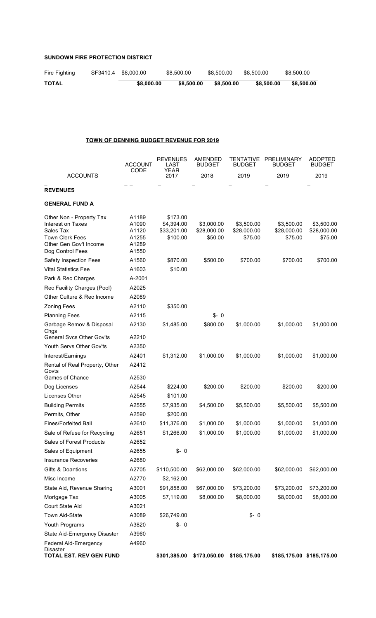# **SUNDOWN FIRE PROTECTION DISTRICT**

| Fire Fighting | SF3410.4 \$8,000.00 | \$8,500.00 | \$8.500.00 | \$8.500.00 | \$8,500.00 |
|---------------|---------------------|------------|------------|------------|------------|
| <b>TOTAL</b>  | \$8,000,00          | \$8,500.00 | \$8.500.00 | \$8,500,00 | \$8,500.00 |

# **TOWN OF DENNING BUDGET REVENUE FOR 2019**

|                                                                                                                                    | ACCOUNT<br><b>CODE</b>                             | <b>REVENUES</b><br>LAST<br>YEAR                   | AMENDED<br><b>BUDGET</b>             | <b>TENTATIVE</b><br>BUDGET           | PRELIMINARY<br>BUDGET                | <b>ADOPTED</b><br><b>BUDGET</b>      |
|------------------------------------------------------------------------------------------------------------------------------------|----------------------------------------------------|---------------------------------------------------|--------------------------------------|--------------------------------------|--------------------------------------|--------------------------------------|
| <b>ACCOUNTS</b>                                                                                                                    |                                                    | 2017                                              | 2018                                 | 2019                                 | 2019                                 | 2019                                 |
| <b>REVENUES</b>                                                                                                                    |                                                    |                                                   |                                      |                                      |                                      |                                      |
| <b>GENERAL FUND A</b>                                                                                                              |                                                    |                                                   |                                      |                                      |                                      |                                      |
| Other Non - Property Tax<br>Interest on Taxes<br>Sales Tax<br><b>Town Clerk Fees</b><br>Other Gen Gov't Income<br>Dog Control Fees | A1189<br>A1090<br>A1120<br>A1255<br>A1289<br>A1550 | \$173.00<br>\$4,394.00<br>\$33,201.00<br>\$100.00 | \$3,000.00<br>\$28,000.00<br>\$50.00 | \$3,500.00<br>\$28,000.00<br>\$75.00 | \$3,500.00<br>\$28,000.00<br>\$75.00 | \$3,500.00<br>\$28,000.00<br>\$75.00 |
| Safety Inspection Fees                                                                                                             | A1560                                              | \$870.00                                          | \$500.00                             | \$700.00                             | \$700.00                             | \$700.00                             |
| <b>Vital Statistics Fee</b>                                                                                                        | A1603                                              | \$10.00                                           |                                      |                                      |                                      |                                      |
| Park & Rec Charges                                                                                                                 | A-2001                                             |                                                   |                                      |                                      |                                      |                                      |
| Rec Facility Charges (Pool)                                                                                                        | A2025                                              |                                                   |                                      |                                      |                                      |                                      |
| Other Culture & Rec Income                                                                                                         | A2089                                              |                                                   |                                      |                                      |                                      |                                      |
| <b>Zoning Fees</b>                                                                                                                 | A2110                                              | \$350.00                                          |                                      |                                      |                                      |                                      |
| <b>Planning Fees</b>                                                                                                               | A2115                                              |                                                   | $$ - 0$                              |                                      |                                      |                                      |
| Garbage Remov & Disposal<br>Chgs                                                                                                   | A2130                                              | \$1,485.00                                        | \$800.00                             | \$1,000.00                           | \$1,000.00                           | \$1,000.00                           |
| General Svcs Other Gov'ts                                                                                                          | A2210                                              |                                                   |                                      |                                      |                                      |                                      |
| Youth Servs Other Gov'ts                                                                                                           | A2350                                              |                                                   |                                      |                                      |                                      |                                      |
| Interest/Earnings                                                                                                                  | A2401                                              | \$1,312.00                                        | \$1,000.00                           | \$1,000.00                           | \$1,000.00                           | \$1,000.00                           |
| Rental of Real Property, Other<br>Govts                                                                                            | A2412                                              |                                                   |                                      |                                      |                                      |                                      |
| Games of Chance                                                                                                                    | A2530                                              |                                                   |                                      |                                      |                                      |                                      |
| Dog Licenses                                                                                                                       | A2544                                              | \$224.00                                          | \$200.00                             | \$200.00                             | \$200.00                             | \$200.00                             |
| Licenses Other                                                                                                                     | A2545                                              | \$101.00                                          |                                      |                                      |                                      |                                      |
| <b>Building Permits</b>                                                                                                            | A2555                                              | \$7,935.00                                        | \$4,500.00                           | \$5,500.00                           | \$5,500.00                           | \$5,500.00                           |
| Permits, Other                                                                                                                     | A2590                                              | \$200.00                                          |                                      |                                      |                                      |                                      |
| <b>Fines/Forfeited Bail</b>                                                                                                        | A2610                                              | \$11,376.00                                       | \$1,000.00                           | \$1,000.00                           | \$1,000.00                           | \$1,000.00                           |
| Sale of Refuse for Recycling                                                                                                       | A2651                                              | \$1,266.00                                        | \$1,000.00                           | \$1,000.00                           | \$1,000.00                           | \$1,000.00                           |
| Sales of Forest Products                                                                                                           | A2652                                              |                                                   |                                      |                                      |                                      |                                      |
| Sales of Equipment                                                                                                                 | A2655                                              | $$ - 0$                                           |                                      |                                      |                                      |                                      |
| <b>Insurance Recoveries</b>                                                                                                        | A2680                                              |                                                   |                                      |                                      |                                      |                                      |
| Gifts & Doantions                                                                                                                  | A2705                                              | \$110,500.00                                      | \$62,000.00                          | \$62,000.00                          | \$62,000.00                          | \$62,000.00                          |
| Misc Income                                                                                                                        | A2770                                              | \$2,162.00                                        |                                      |                                      |                                      |                                      |
| State Aid, Revenue Sharing                                                                                                         | A3001                                              | \$91,858.00                                       | \$67,000.00                          | \$73,200.00                          | \$73,200.00                          | \$73,200.00                          |
| Mortgage Tax                                                                                                                       | A3005                                              | \$7,119.00                                        | \$8,000.00                           | \$8,000.00                           | \$8,000.00                           | \$8,000.00                           |
| Court State Aid                                                                                                                    | A3021                                              |                                                   |                                      |                                      |                                      |                                      |
| Town Aid-State                                                                                                                     | A3089                                              | \$26,749.00                                       |                                      | $$ - 0$                              |                                      |                                      |
| Youth Programs                                                                                                                     | A3820                                              | $$ - 0$                                           |                                      |                                      |                                      |                                      |
| State Aid-Emergency Disaster                                                                                                       | A3960                                              |                                                   |                                      |                                      |                                      |                                      |
| <b>Federal Aid-Emergency</b><br><b>Disaster</b><br><b>TOTAL EST. REV GEN FUND</b>                                                  | A4960                                              | \$301,385.00                                      | \$173,050.00                         | \$185,175.00                         |                                      | \$185,175.00 \$185,175.00            |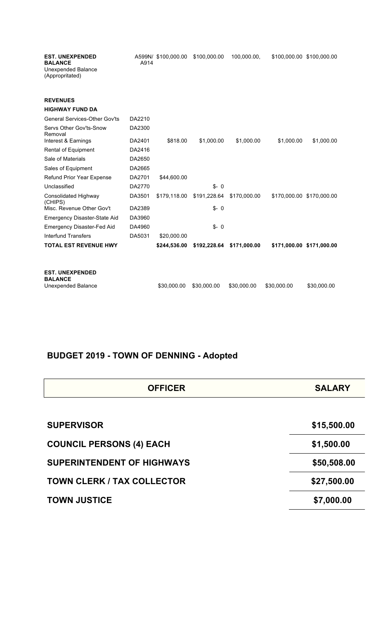| <b>EST. UNEXPENDED</b><br><b>BALANCE</b><br><b>Unexpended Balance</b><br>(Appropritated) | A914   | A599N/ \$100,000.00 | \$100,000.00 | 100,000.00,  |             | \$100,000.00 \$100,000.00 |
|------------------------------------------------------------------------------------------|--------|---------------------|--------------|--------------|-------------|---------------------------|
| <b>REVENUES</b>                                                                          |        |                     |              |              |             |                           |
| <b>HIGHWAY FUND DA</b>                                                                   |        |                     |              |              |             |                           |
| <b>General Services-Other Gov'ts</b>                                                     | DA2210 |                     |              |              |             |                           |
| Servs Other Gov'ts-Snow<br>Removal                                                       | DA2300 |                     |              |              |             |                           |
| Interest & Earnings                                                                      | DA2401 | \$818.00            | \$1,000.00   | \$1,000.00   | \$1,000.00  | \$1,000.00                |
| Rental of Equipment                                                                      | DA2416 |                     |              |              |             |                           |
| Sale of Materials                                                                        | DA2650 |                     |              |              |             |                           |
| Sales of Equipment                                                                       | DA2665 |                     |              |              |             |                           |
| Refund Prior Year Expense                                                                | DA2701 | \$44,600.00         |              |              |             |                           |
| Unclassified                                                                             | DA2770 |                     | $S - 0$      |              |             |                           |
| Consolidated Highway<br>(CHIPS)                                                          | DA3501 | \$179,118.00        | \$191,228.64 | \$170,000.00 |             | \$170,000.00 \$170,000.00 |
| Misc. Revenue Other Gov't                                                                | DA2389 |                     | $$ - 0$      |              |             |                           |
| <b>Emergency Disaster-State Aid</b>                                                      | DA3960 |                     |              |              |             |                           |
| <b>Emergency Disaster-Fed Aid</b>                                                        | DA4960 |                     | $S - 0$      |              |             |                           |
| <b>Interfund Transfers</b>                                                               | DA5031 | \$20,000.00         |              |              |             |                           |
| <b>TOTAL EST REVENUE HWY</b>                                                             |        | \$244,536.00        | \$192,228.64 | \$171,000.00 |             | \$171,000.00 \$171,000.00 |
| <b>EST. UNEXPENDED</b><br><b>BALANCE</b><br>Unexpended Balance                           |        | \$30.000.00         | \$30,000.00  | \$30,000.00  | \$30,000.00 | \$30,000.00               |

# **BUDGET 2019 - TOWN OF DENNING - Adopted**

| <b>OFFICER</b>                    | <b>SALARY</b> |
|-----------------------------------|---------------|
|                                   |               |
| <b>SUPERVISOR</b>                 | \$15,500.00   |
| <b>COUNCIL PERSONS (4) EACH</b>   | \$1,500.00    |
| <b>SUPERINTENDENT OF HIGHWAYS</b> | \$50,508.00   |
| <b>TOWN CLERK / TAX COLLECTOR</b> | \$27,500.00   |
| <b>TOWN JUSTICE</b>               | \$7,000.00    |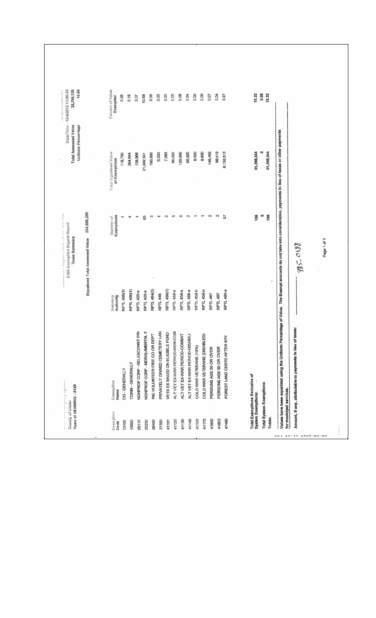| 16.80<br>DataTime - 1042018 1100109<br>32,798,120<br>and an except of the country cause a                                                                                                                                                                                                                                                                                                                                                                         |                                | Percent of Value<br>Ехепрово                  | 0.06               | 0.19             | 10.68<br>0.07                 | 0.09                                                            | 0.00                         | 0.00                           | 0.05                          | 0.06                         | <b>B.D4</b>                    | 0.00                    | 0.00                         | 0.07                   | 종<br>0.04              | 3.97                         | 15.32                         | 0.00                     | 15.32          |                                                                                                                                                                  |                                                            |             |
|-------------------------------------------------------------------------------------------------------------------------------------------------------------------------------------------------------------------------------------------------------------------------------------------------------------------------------------------------------------------------------------------------------------------------------------------------------------------|--------------------------------|-----------------------------------------------|--------------------|------------------|-------------------------------|-----------------------------------------------------------------|------------------------------|--------------------------------|-------------------------------|------------------------------|--------------------------------|-------------------------|------------------------------|------------------------|------------------------|------------------------------|-------------------------------|--------------------------|----------------|------------------------------------------------------------------------------------------------------------------------------------------------------------------|------------------------------------------------------------|-------------|
| Total Assessed Value<br><b>Uniform Percentage</b>                                                                                                                                                                                                                                                                                                                                                                                                                 |                                | <b>Total Equalized Value</b><br>of Exemptions | 118,750            | 384,844          | 138,906<br>21,882,531         | 180,500                                                         | 6,250                        | 7,563                          | 96,000                        | 120,000                      | 80,000                         | 8,000                   | 6,600                        | 145,469                | 90,419                 | 8,132,513                    | 31,398,344                    |                          | 31,398,344     |                                                                                                                                                                  |                                                            |             |
| distant links<br>agg Exomplon angel Report<br>$\frac{1}{2} \frac{1}{2} \frac{1}{2} \frac{1}{2} \frac{1}{2} \frac{1}{2} \frac{1}{2} \frac{1}{2} \frac{1}{2} \frac{1}{2} \frac{1}{2} \frac{1}{2} \frac{1}{2} \frac{1}{2} \frac{1}{2} \frac{1}{2} \frac{1}{2} \frac{1}{2} \frac{1}{2} \frac{1}{2} \frac{1}{2} \frac{1}{2} \frac{1}{2} \frac{1}{2} \frac{1}{2} \frac{1}{2} \frac{1}{2} \frac{1}{2} \frac{1}{2} \frac{1}{2} \frac{1}{2} \frac{$<br><b>Town Summary</b> | 204,988,250                    | <b>Humber</b> of<br>Exemptions                |                    | 4                | \$                            | 4                                                               |                              | $\sim$                         | œ                             | Φ                            | N                              | <b>The</b>              | Ţ                            | N                      | u                      | 5                            | 158                           | ⇔                        | 156            |                                                                                                                                                                  | 985-0188                                                   | Page 1 of 1 |
|                                                                                                                                                                                                                                                                                                                                                                                                                                                                   | Equationd Total Assessed Value | Authority<br><b>Statistic</b>                 | <b>RPTL 406(1)</b> | RPTL 406(1)      | RPTL 420-a                    | RPTL 464(2)<br>RPTL 420-a                                       | <b>RPTL 446</b>              | <b>RPTL 458(1)</b>             | RPTL 458-a                    | RPTL 458-B                   | RPTL 458-a                     | RPTL 458-b              | RPTL 458-b                   | RPTL 467               | <b>RPTL 467</b>        | RPTL 480-a                   |                               |                          |                |                                                                                                                                                                  |                                                            |             |
| i<br>C<br>ŗ,                                                                                                                                                                                                                                                                                                                                                                                                                                                      |                                | Еженирбов<br>Manne                            | CO-GENERALLY       | TOWN - GENERALLY | NONPROF CORP - RELIGICONST PR | NONPROF CORP - MORAL/MENTAL II<br>INC VOLUNTEER FIRE CO OR DEPT | PRIVATELY OWNED CEMETERY LAN | VETS EX BASED ON ELIGIBLE FUND | ALT VET EX-WAR PERIOD-NON-COM | ALT VET EX-WAR PERIOD-COMBAT | ALT VET EX-WAR PERIOD-DISABILI | COLD WAR VETERANS (10%) | COLD WAR VETERANS (DISABLED) | PERSONS AGE 65 OR OVER | PERSONS AGE 65 OR OVER | FOREST LAND CERTD AFTER 8/74 | Total Exemptions Exclusive of |                          |                | Values have been equalized using the Uniform Percentage of Value. The Exempt amounts do not take into consideration, payments in lieu of taxes or other payments | Amount, if any, attributable to payments in lieu of taxes: |             |
| Town of DENNING - \$120<br>County of Ulster                                                                                                                                                                                                                                                                                                                                                                                                                       |                                | Exemplos                                      | 13100              | 13500            | 25110                         | 26400<br>25230                                                  | 27350                        | 41101                          | 41120                         | 41130                        | 41140                          | 41153                   | 41173                        | 41800                  | 41803                  | 47460                        | System Exemptions:            | Total System Exemptions: | <b>Totals:</b> | for municipal services                                                                                                                                           |                                                            |             |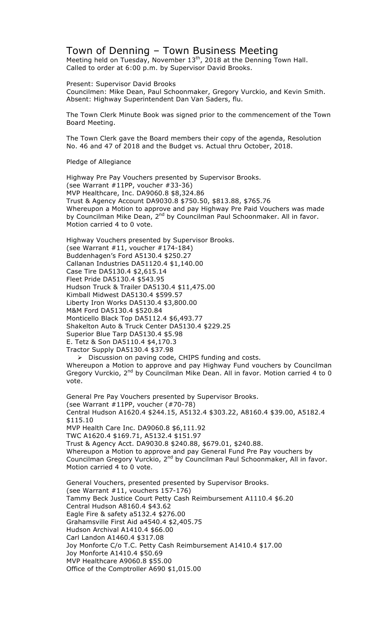# Town of Denning – Town Business Meeting

Meeting held on Tuesday, November  $13<sup>th</sup>$ , 2018 at the Denning Town Hall. Called to order at 6:00 p.m. by Supervisor David Brooks.

Present: Supervisor David Brooks

Councilmen: Mike Dean, Paul Schoonmaker, Gregory Vurckio, and Kevin Smith. Absent: Highway Superintendent Dan Van Saders, flu.

The Town Clerk Minute Book was signed prior to the commencement of the Town Board Meeting.

The Town Clerk gave the Board members their copy of the agenda, Resolution No. 46 and 47 of 2018 and the Budget vs. Actual thru October, 2018.

Pledge of Allegiance

Highway Pre Pay Vouchers presented by Supervisor Brooks. (see Warrant #11PP, voucher #33-36) MVP Healthcare, Inc. DA9060.8 \$8,324.86 Trust & Agency Account DA9030.8 \$750.50, \$813.88, \$765.76 Whereupon a Motion to approve and pay Highway Pre Paid Vouchers was made by Councilman Mike Dean, 2<sup>nd</sup> by Councilman Paul Schoonmaker. All in favor. Motion carried 4 to 0 vote.

Highway Vouchers presented by Supervisor Brooks. (see Warrant #11, voucher #174-184) Buddenhagen's Ford A5130.4 \$250.27 Callanan Industries DA51120.4 \$1,140.00 Case Tire DA5130.4 \$2,615.14 Fleet Pride DA5130.4 \$543.95 Hudson Truck & Trailer DA5130.4 \$11,475.00 Kimball Midwest DA5130.4 \$599.57 Liberty Iron Works DA5130.4 \$3,800.00 M&M Ford DA5130.4 \$520.84 Monticello Black Top DA5112.4 \$6,493.77 Shakelton Auto & Truck Center DA5130.4 \$229.25 Superior Blue Tarp DA5130.4 \$5.98 E. Tetz & Son DA5110.4 \$4,170.3 Tractor Supply DA5130.4 \$37.98

 $\triangleright$  Discussion on paving code, CHIPS funding and costs. Whereupon a Motion to approve and pay Highway Fund vouchers by Councilman Gregory Vurckio,  $2^{nd}$  by Councilman Mike Dean. All in favor. Motion carried 4 to 0 vote.

General Pre Pay Vouchers presented by Supervisor Brooks. (see Warrant #11PP, voucher (#70-78) Central Hudson A1620.4 \$244.15, A5132.4 \$303.22, A8160.4 \$39.00, A5182.4 \$115.10 MVP Health Care Inc. DA9060.8 \$6,111.92 TWC A1620.4 \$169.71, A5132.4 \$151.97 Trust & Agency Acct. DA9030.8 \$240.88, \$679.01, \$240.88. Whereupon a Motion to approve and pay General Fund Pre Pay vouchers by Councilman Gregory Vurckio, 2<sup>nd</sup> by Councilman Paul Schoonmaker, All in favor. Motion carried 4 to 0 vote.

General Vouchers, presented presented by Supervisor Brooks. (see Warrant #11, vouchers 157-176) Tammy Beck Justice Court Petty Cash Reimbursement A1110.4 \$6.20 Central Hudson A8160.4 \$43.62 Eagle Fire & safety a5132.4 \$276.00 Grahamsville First Aid a4540.4 \$2,405.75 Hudson Archival A1410.4 \$66.00 Carl Landon A1460.4 \$317.08 Joy Monforte C/o T.C. Petty Cash Reimbursement A1410.4 \$17.00 Joy Monforte A1410.4 \$50.69 MVP Healthcare A9060.8 \$55.00 Office of the Comptroller A690 \$1,015.00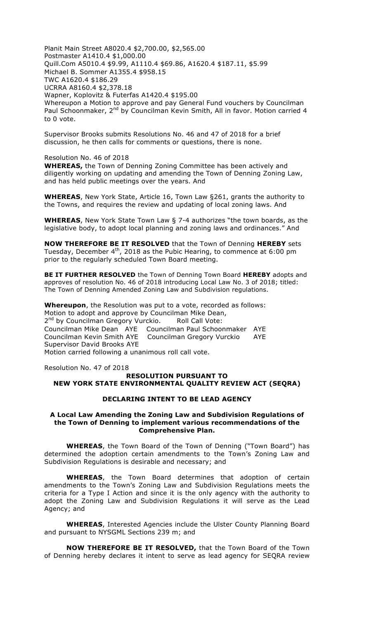Planit Main Street A8020.4 \$2,700.00, \$2,565.00 Postmaster A1410.4 \$1,000.00 Quill.Com A5010.4 \$9.99, A1110.4 \$69.86, A1620.4 \$187.11, \$5.99 Michael B. Sommer A1355.4 \$958.15 TWC A1620.4 \$186.29 UCRRA A8160.4 \$2,378.18 Wapner, Koplovitz & Futerfas A1420.4 \$195.00 Whereupon a Motion to approve and pay General Fund vouchers by Councilman Paul Schoonmaker, 2nd by Councilman Kevin Smith, All in favor. Motion carried 4 to 0 vote.

Supervisor Brooks submits Resolutions No. 46 and 47 of 2018 for a brief discussion, he then calls for comments or questions, there is none.

#### Resolution No. 46 of 2018

**WHEREAS,** the Town of Denning Zoning Committee has been actively and diligently working on updating and amending the Town of Denning Zoning Law, and has held public meetings over the years. And

**WHEREAS**, New York State, Article 16, Town Law §261, grants the authority to the Towns, and requires the review and updating of local zoning laws. And

**WHEREAS**, New York State Town Law § 7-4 authorizes "the town boards, as the legislative body, to adopt local planning and zoning laws and ordinances." And

**NOW THEREFORE BE IT RESOLVED** that the Town of Denning **HEREBY** sets Tuesday, December  $4<sup>th</sup>$ , 2018 as the Pubic Hearing, to commence at 6:00 pm prior to the regularly scheduled Town Board meeting.

**BE IT FURTHER RESOLVED** the Town of Denning Town Board **HEREBY** adopts and approves of resolution No. 46 of 2018 introducing Local Law No. 3 of 2018; titled: The Town of Denning Amended Zoning Law and Subdivision regulations.

**Whereupon**, the Resolution was put to a vote, recorded as follows: Motion to adopt and approve by Councilman Mike Dean, 2<sup>nd</sup> by Councilman Gregory Vurckio. Roll Call Vote: Councilman Mike Dean AYE Councilman Paul Schoonmaker AYE Councilman Kevin Smith AYE Councilman Gregory Vurckio AYE Supervisor David Brooks AYE Motion carried following a unanimous roll call vote.

Resolution No. 47 of 2018

# **RESOLUTION PURSUANT TO NEW YORK STATE ENVIRONMENTAL QUALITY REVIEW ACT (SEQRA)**

#### **DECLARING INTENT TO BE LEAD AGENCY**

#### **A Local Law Amending the Zoning Law and Subdivision Regulations of the Town of Denning to implement various recommendations of the Comprehensive Plan.**

**WHEREAS**, the Town Board of the Town of Denning ("Town Board") has determined the adoption certain amendments to the Town's Zoning Law and Subdivision Regulations is desirable and necessary; and

**WHEREAS**, the Town Board determines that adoption of certain amendments to the Town's Zoning Law and Subdivision Regulations meets the criteria for a Type I Action and since it is the only agency with the authority to adopt the Zoning Law and Subdivision Regulations it will serve as the Lead Agency; and

**WHEREAS**, Interested Agencies include the Ulster County Planning Board and pursuant to NYSGML Sections 239 m; and

**NOW THEREFORE BE IT RESOLVED,** that the Town Board of the Town of Denning hereby declares it intent to serve as lead agency for SEQRA review